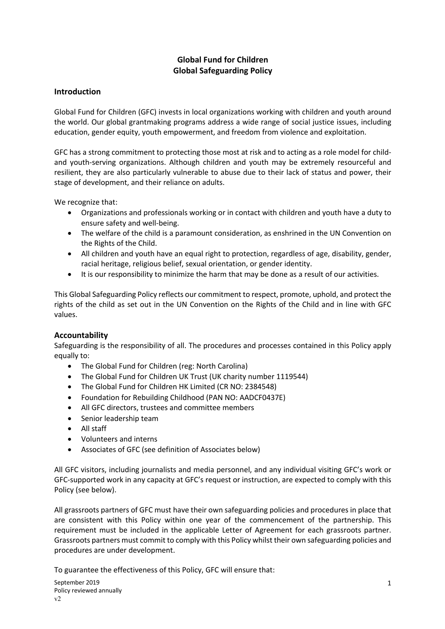# **Global Fund for Children Global Safeguarding Policy**

# **Introduction**

Global Fund for Children (GFC) invests in local organizations working with children and youth around the world. Our global grantmaking programs address a wide range of social justice issues, including education, gender equity, youth empowerment, and freedom from violence and exploitation.

GFC has a strong commitment to protecting those most at risk and to acting as a role model for childand youth-serving organizations. Although children and youth may be extremely resourceful and resilient, they are also particularly vulnerable to abuse due to their lack of status and power, their stage of development, and their reliance on adults.

We recognize that:

- Organizations and professionals working or in contact with children and youth have a duty to ensure safety and well-being.
- The welfare of the child is a paramount consideration, as enshrined in the UN Convention on the Rights of the Child.
- All children and youth have an equal right to protection, regardless of age, disability, gender, racial heritage, religious belief, sexual orientation, or gender identity.
- It is our responsibility to minimize the harm that may be done as a result of our activities.

This Global Safeguarding Policy reflects our commitment to respect, promote, uphold, and protect the rights of the child as set out in the UN Convention on the Rights of the Child and in line with GFC values.

## **Accountability**

Safeguarding is the responsibility of all. The procedures and processes contained in this Policy apply equally to:

- The Global Fund for Children (reg: North Carolina)
- The Global Fund for Children UK Trust (UK charity number 1119544)
- The Global Fund for Children HK Limited (CR NO: 2384548)
- Foundation for Rebuilding Childhood (PAN NO: AADCF0437E)
- All GFC directors, trustees and committee members
- Senior leadership team
- All staff
- Volunteers and interns
- Associates of GFC (see definition of Associates below)

All GFC visitors, including journalists and media personnel, and any individual visiting GFC's work or GFC-supported work in any capacity at GFC's request or instruction, are expected to comply with this Policy (see below).

All grassroots partners of GFC must have their own safeguarding policies and procedures in place that are consistent with this Policy within one year of the commencement of the partnership. This requirement must be included in the applicable Letter of Agreement for each grassroots partner. Grassroots partners must commit to comply with this Policy whilst their own safeguarding policies and procedures are under development.

To guarantee the effectiveness of this Policy, GFC will ensure that: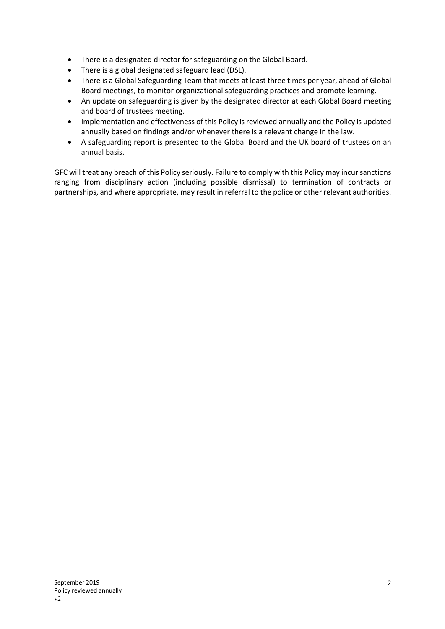- There is a designated director for safeguarding on the Global Board.
- There is a global designated safeguard lead (DSL).
- There is a Global Safeguarding Team that meets at least three times per year, ahead of Global Board meetings, to monitor organizational safeguarding practices and promote learning.
- An update on safeguarding is given by the designated director at each Global Board meeting and board of trustees meeting.
- Implementation and effectiveness of this Policy is reviewed annually and the Policy is updated annually based on findings and/or whenever there is a relevant change in the law.
- A safeguarding report is presented to the Global Board and the UK board of trustees on an annual basis.

GFC will treat any breach of this Policy seriously. Failure to comply with this Policy may incur sanctions ranging from disciplinary action (including possible dismissal) to termination of contracts or partnerships, and where appropriate, may result in referral to the police or other relevant authorities.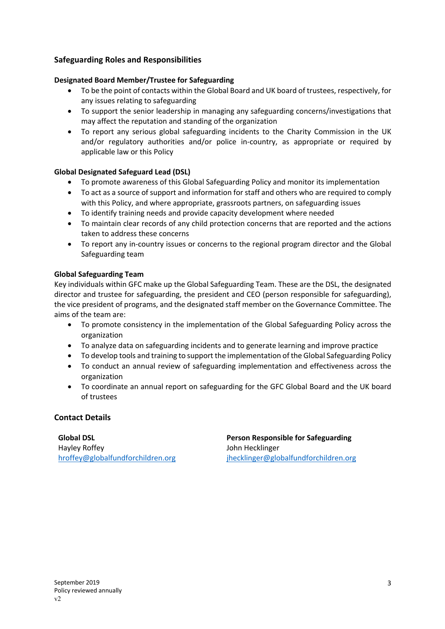# **Safeguarding Roles and Responsibilities**

#### **Designated Board Member/Trustee for Safeguarding**

- To be the point of contacts within the Global Board and UK board of trustees, respectively, for any issues relating to safeguarding
- To support the senior leadership in managing any safeguarding concerns/investigations that may affect the reputation and standing of the organization
- To report any serious global safeguarding incidents to the Charity Commission in the UK and/or regulatory authorities and/or police in-country, as appropriate or required by applicable law or this Policy

#### **Global Designated Safeguard Lead (DSL)**

- To promote awareness of this Global Safeguarding Policy and monitor its implementation
- To act as a source of support and information for staff and others who are required to comply with this Policy, and where appropriate, grassroots partners, on safeguarding issues
- To identify training needs and provide capacity development where needed
- To maintain clear records of any child protection concerns that are reported and the actions taken to address these concerns
- To report any in-country issues or concerns to the regional program director and the Global Safeguarding team

#### **Global Safeguarding Team**

Key individuals within GFC make up the Global Safeguarding Team. These are the DSL, the designated director and trustee for safeguarding, the president and CEO (person responsible for safeguarding), the vice president of programs, and the designated staff member on the Governance Committee. The aims of the team are:

- To promote consistency in the implementation of the Global Safeguarding Policy across the organization
- To analyze data on safeguarding incidents and to generate learning and improve practice
- To develop tools and training to support the implementation of the Global Safeguarding Policy
- To conduct an annual review of safeguarding implementation and effectiveness across the organization
- To coordinate an annual report on safeguarding for the GFC Global Board and the UK board of trustees

## **Contact Details**

Hayley Roffey John Hecklinger

**Global DSL Person Responsible for Safeguarding** hroffey@globalfundforchildren.org jhecklinger@globalfundforchildren.org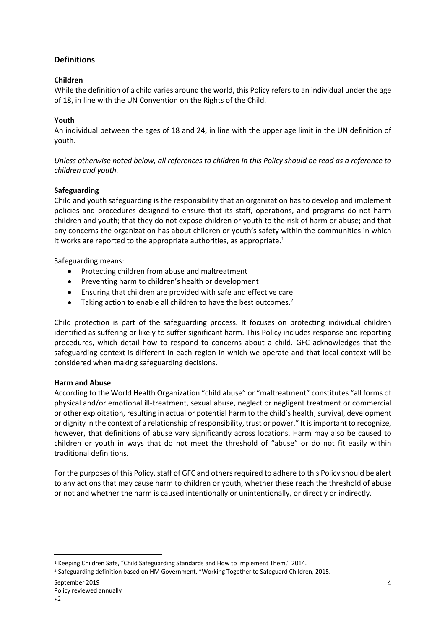# **Definitions**

## **Children**

While the definition of a child varies around the world, this Policy refers to an individual under the age of 18, in line with the UN Convention on the Rights of the Child.

## **Youth**

An individual between the ages of 18 and 24, in line with the upper age limit in the UN definition of youth.

*Unless otherwise noted below, all references to children in this Policy should be read as a reference to children and youth.*

## **Safeguarding**

Child and youth safeguarding is the responsibility that an organization has to develop and implement policies and procedures designed to ensure that its staff, operations, and programs do not harm children and youth; that they do not expose children or youth to the risk of harm or abuse; and that any concerns the organization has about children or youth's safety within the communities in which it works are reported to the appropriate authorities, as appropriate. $^{1}$ 

Safeguarding means:

- Protecting children from abuse and maltreatment
- Preventing harm to children's health or development
- Ensuring that children are provided with safe and effective care
- $\bullet$  Taking action to enable all children to have the best outcomes.<sup>2</sup>

Child protection is part of the safeguarding process. It focuses on protecting individual children identified as suffering or likely to suffer significant harm. This Policy includes response and reporting procedures, which detail how to respond to concerns about a child. GFC acknowledges that the safeguarding context is different in each region in which we operate and that local context will be considered when making safeguarding decisions.

## **Harm and Abuse**

According to the World Health Organization "child abuse" or "maltreatment" constitutes "all forms of physical and/or emotional ill-treatment, sexual abuse, neglect or negligent treatment or commercial or other exploitation, resulting in actual or potential harm to the child's health, survival, development or dignity in the context of a relationship of responsibility, trust or power." It is important to recognize, however, that definitions of abuse vary significantly across locations. Harm may also be caused to children or youth in ways that do not meet the threshold of "abuse" or do not fit easily within traditional definitions.

For the purposes of this Policy, staff of GFC and others required to adhere to this Policy should be alert to any actions that may cause harm to children or youth, whether these reach the threshold of abuse or not and whether the harm is caused intentionally or unintentionally, or directly or indirectly.

<sup>1</sup> Keeping Children Safe, "Child Safeguarding Standards and How to Implement Them," 2014.

<sup>&</sup>lt;sup>2</sup> Safeguarding definition based on HM Government, "Working Together to Safeguard Children, 2015.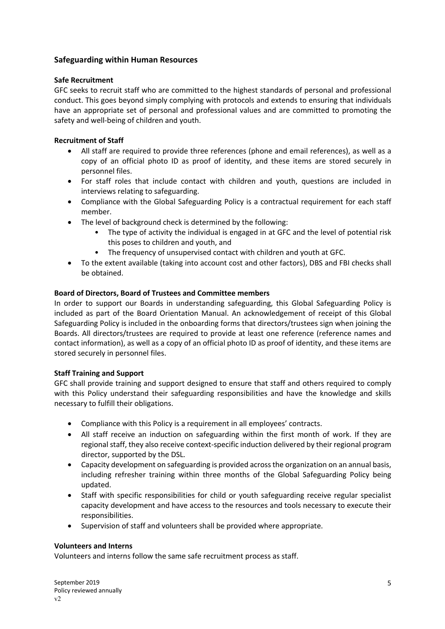## **Safeguarding within Human Resources**

#### **Safe Recruitment**

GFC seeks to recruit staff who are committed to the highest standards of personal and professional conduct. This goes beyond simply complying with protocols and extends to ensuring that individuals have an appropriate set of personal and professional values and are committed to promoting the safety and well-being of children and youth.

#### **Recruitment of Staff**

- All staff are required to provide three references (phone and email references), as well as a copy of an official photo ID as proof of identity, and these items are stored securely in personnel files.
- For staff roles that include contact with children and youth, questions are included in interviews relating to safeguarding.
- Compliance with the Global Safeguarding Policy is a contractual requirement for each staff member.
- The level of background check is determined by the following:
	- The type of activity the individual is engaged in at GFC and the level of potential risk this poses to children and youth, and
	- The frequency of unsupervised contact with children and youth at GFC.
- To the extent available (taking into account cost and other factors), DBS and FBI checks shall be obtained.

## **Board of Directors, Board of Trustees and Committee members**

In order to support our Boards in understanding safeguarding, this Global Safeguarding Policy is included as part of the Board Orientation Manual. An acknowledgement of receipt of this Global Safeguarding Policy is included in the onboarding forms that directors/trustees sign when joining the Boards. All directors/trustees are required to provide at least one reference (reference names and contact information), as well as a copy of an official photo ID as proof of identity, and these items are stored securely in personnel files.

## **Staff Training and Support**

GFC shall provide training and support designed to ensure that staff and others required to comply with this Policy understand their safeguarding responsibilities and have the knowledge and skills necessary to fulfill their obligations.

- Compliance with this Policy is a requirement in all employees' contracts.
- All staff receive an induction on safeguarding within the first month of work. If they are regional staff, they also receive context-specific induction delivered by their regional program director, supported by the DSL.
- Capacity development on safeguarding is provided across the organization on an annual basis, including refresher training within three months of the Global Safeguarding Policy being updated.
- Staff with specific responsibilities for child or youth safeguarding receive regular specialist capacity development and have access to the resources and tools necessary to execute their responsibilities.
- Supervision of staff and volunteers shall be provided where appropriate.

#### **Volunteers and Interns**

Volunteers and interns follow the same safe recruitment process as staff.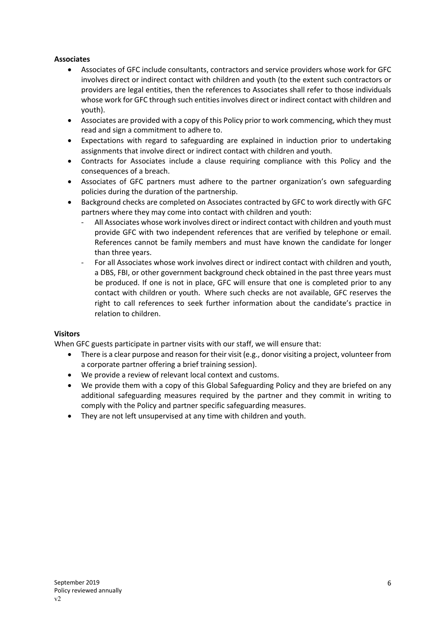## **Associates**

- Associates of GFC include consultants, contractors and service providers whose work for GFC involves direct or indirect contact with children and youth (to the extent such contractors or providers are legal entities, then the references to Associates shall refer to those individuals whose work for GFC through such entities involves direct or indirect contact with children and youth).
- Associates are provided with a copy of this Policy prior to work commencing, which they must read and sign a commitment to adhere to.
- Expectations with regard to safeguarding are explained in induction prior to undertaking assignments that involve direct or indirect contact with children and youth.
- Contracts for Associates include a clause requiring compliance with this Policy and the consequences of a breach.
- Associates of GFC partners must adhere to the partner organization's own safeguarding policies during the duration of the partnership.
- Background checks are completed on Associates contracted by GFC to work directly with GFC partners where they may come into contact with children and youth:
	- All Associates whose work involves direct or indirect contact with children and youth must provide GFC with two independent references that are verified by telephone or email. References cannot be family members and must have known the candidate for longer than three years.
	- For all Associates whose work involves direct or indirect contact with children and youth, a DBS, FBI, or other government background check obtained in the past three years must be produced. If one is not in place, GFC will ensure that one is completed prior to any contact with children or youth. Where such checks are not available, GFC reserves the right to call references to seek further information about the candidate's practice in relation to children.

#### **Visitors**

When GFC guests participate in partner visits with our staff, we will ensure that:

- There is a clear purpose and reason for their visit (e.g., donor visiting a project, volunteer from a corporate partner offering a brief training session).
- We provide a review of relevant local context and customs.
- We provide them with a copy of this Global Safeguarding Policy and they are briefed on any additional safeguarding measures required by the partner and they commit in writing to comply with the Policy and partner specific safeguarding measures.
- They are not left unsupervised at any time with children and youth.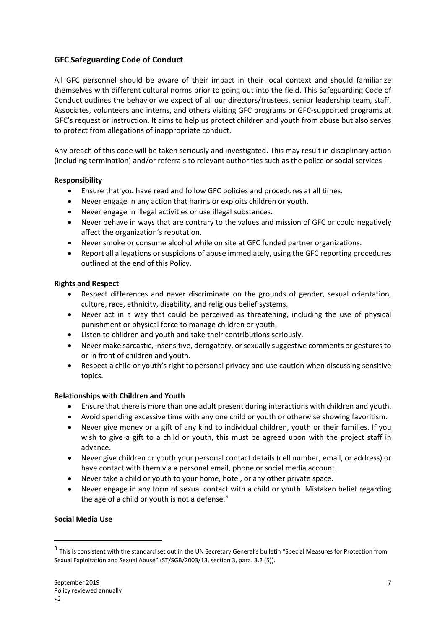# **GFC Safeguarding Code of Conduct**

All GFC personnel should be aware of their impact in their local context and should familiarize themselves with different cultural norms prior to going out into the field. This Safeguarding Code of Conduct outlines the behavior we expect of all our directors/trustees, senior leadership team, staff, Associates, volunteers and interns, and others visiting GFC programs or GFC-supported programs at GFC's request or instruction. It aims to help us protect children and youth from abuse but also serves to protect from allegations of inappropriate conduct.

Any breach of this code will be taken seriously and investigated. This may result in disciplinary action (including termination) and/or referrals to relevant authorities such as the police or social services.

## **Responsibility**

- Ensure that you have read and follow GFC policies and procedures at all times.
- Never engage in any action that harms or exploits children or youth.
- Never engage in illegal activities or use illegal substances.
- Never behave in ways that are contrary to the values and mission of GFC or could negatively affect the organization's reputation.
- Never smoke or consume alcohol while on site at GFC funded partner organizations.
- Report all allegations or suspicions of abuse immediately, using the GFC reporting procedures outlined at the end of this Policy.

#### **Rights and Respect**

- Respect differences and never discriminate on the grounds of gender, sexual orientation, culture, race, ethnicity, disability, and religious belief systems.
- Never act in a way that could be perceived as threatening, including the use of physical punishment or physical force to manage children or youth.
- Listen to children and youth and take their contributions seriously.
- Never make sarcastic, insensitive, derogatory, or sexually suggestive comments or gestures to or in front of children and youth.
- Respect a child or youth's right to personal privacy and use caution when discussing sensitive topics.

## **Relationships with Children and Youth**

- Ensure that there is more than one adult present during interactions with children and youth.
- Avoid spending excessive time with any one child or youth or otherwise showing favoritism.
- Never give money or a gift of any kind to individual children, youth or their families. If you wish to give a gift to a child or youth, this must be agreed upon with the project staff in advance.
- Never give children or youth your personal contact details (cell number, email, or address) or have contact with them via a personal email, phone or social media account.
- Never take a child or youth to your home, hotel, or any other private space.
- Never engage in any form of sexual contact with a child or youth. Mistaken belief regarding the age of a child or youth is not a defense.<sup>3</sup>

#### **Social Media Use**

<sup>&</sup>lt;sup>3</sup> This is consistent with the standard set out in the UN Secretary General's bulletin "Special Measures for Protection from Sexual Exploitation and Sexual Abuse" (ST/SGB/2003/13, section 3, para. 3.2 (5)).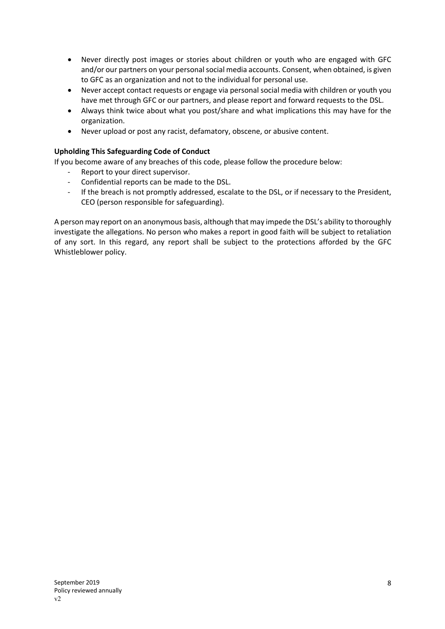- Never directly post images or stories about children or youth who are engaged with GFC and/or our partners on your personal social media accounts. Consent, when obtained, is given to GFC as an organization and not to the individual for personal use.
- Never accept contact requests or engage via personal social media with children or youth you have met through GFC or our partners, and please report and forward requests to the DSL.
- Always think twice about what you post/share and what implications this may have for the organization.
- Never upload or post any racist, defamatory, obscene, or abusive content.

#### **Upholding This Safeguarding Code of Conduct** -

If you become aware of any breaches of this code, please follow the procedure below:

- Report to your direct supervisor.
- Confidential reports can be made to the DSL.
- If the breach is not promptly addressed, escalate to the DSL, or if necessary to the President, CEO (person responsible for safeguarding).

A person may report on an anonymous basis, although that may impede the DSL's ability to thoroughly investigate the allegations. No person who makes a report in good faith will be subject to retaliation of any sort. In this regard, any report shall be subject to the protections afforded by the GFC Whistleblower policy.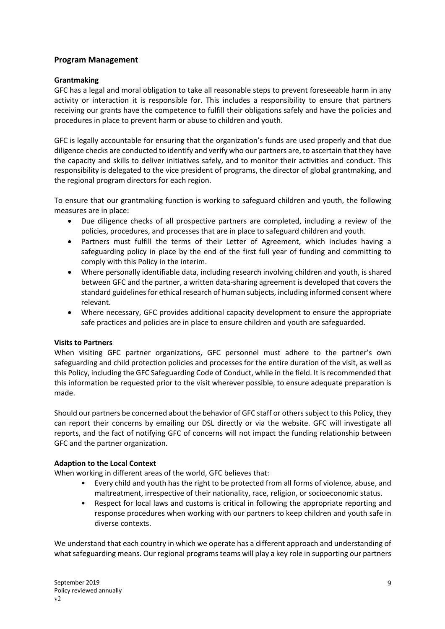## **Program Management**

#### **Grantmaking**

GFC has a legal and moral obligation to take all reasonable steps to prevent foreseeable harm in any activity or interaction it is responsible for. This includes a responsibility to ensure that partners receiving our grants have the competence to fulfill their obligations safely and have the policies and procedures in place to prevent harm or abuse to children and youth.

GFC is legally accountable for ensuring that the organization's funds are used properly and that due diligence checks are conducted to identify and verify who our partners are, to ascertain that they have the capacity and skills to deliver initiatives safely, and to monitor their activities and conduct. This responsibility is delegated to the vice president of programs, the director of global grantmaking, and the regional program directors for each region.

To ensure that our grantmaking function is working to safeguard children and youth, the following measures are in place:

- Due diligence checks of all prospective partners are completed, including a review of the policies, procedures, and processes that are in place to safeguard children and youth.
- Partners must fulfill the terms of their Letter of Agreement, which includes having a safeguarding policy in place by the end of the first full year of funding and committing to comply with this Policy in the interim.
- Where personally identifiable data, including research involving children and youth, is shared between GFC and the partner, a written data-sharing agreement is developed that covers the standard guidelines for ethical research of human subjects, including informed consent where relevant.
- Where necessary, GFC provides additional capacity development to ensure the appropriate safe practices and policies are in place to ensure children and youth are safeguarded.

## **Visits to Partners**

When visiting GFC partner organizations, GFC personnel must adhere to the partner's own safeguarding and child protection policies and processes for the entire duration of the visit, as well as this Policy, including the GFC Safeguarding Code of Conduct, while in the field. It is recommended that this information be requested prior to the visit wherever possible, to ensure adequate preparation is made.

Should our partners be concerned about the behavior of GFC staff or others subject to this Policy, they can report their concerns by emailing our DSL directly or via the website. GFC will investigate all reports, and the fact of notifying GFC of concerns will not impact the funding relationship between GFC and the partner organization.

## **Adaption to the Local Context**

When working in different areas of the world, GFC believes that:

- Every child and youth has the right to be protected from all forms of violence, abuse, and maltreatment, irrespective of their nationality, race, religion, or socioeconomic status.
- Respect for local laws and customs is critical in following the appropriate reporting and response procedures when working with our partners to keep children and youth safe in diverse contexts.

We understand that each country in which we operate has a different approach and understanding of what safeguarding means. Our regional programs teams will play a key role in supporting our partners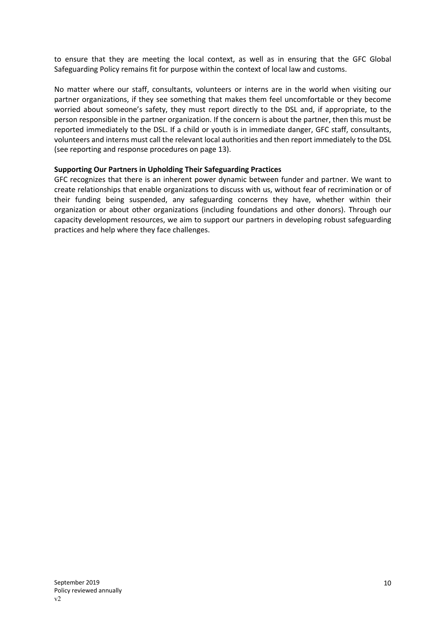to ensure that they are meeting the local context, as well as in ensuring that the GFC Global Safeguarding Policy remains fit for purpose within the context of local law and customs.

No matter where our staff, consultants, volunteers or interns are in the world when visiting our partner organizations, if they see something that makes them feel uncomfortable or they become worried about someone's safety, they must report directly to the DSL and, if appropriate, to the person responsible in the partner organization. If the concern is about the partner, then this must be reported immediately to the DSL. If a child or youth is in immediate danger, GFC staff, consultants, volunteers and interns must call the relevant local authorities and then report immediately to the DSL (see reporting and response procedures on page 13).

#### **Supporting Our Partners in Upholding Their Safeguarding Practices**

GFC recognizes that there is an inherent power dynamic between funder and partner. We want to create relationships that enable organizations to discuss with us, without fear of recrimination or of their funding being suspended, any safeguarding concerns they have, whether within their organization or about other organizations (including foundations and other donors). Through our capacity development resources, we aim to support our partners in developing robust safeguarding practices and help where they face challenges.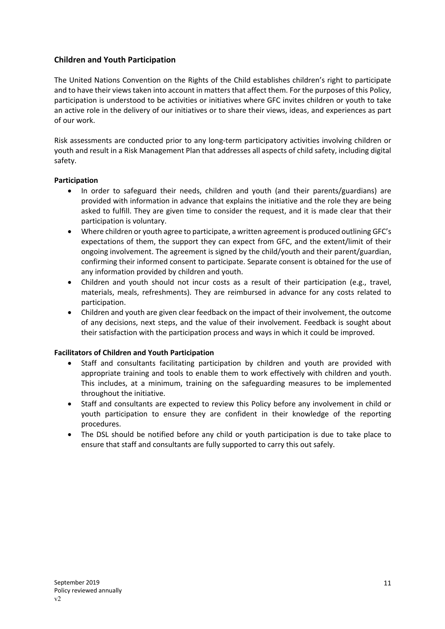# **Children and Youth Participation**

The United Nations Convention on the Rights of the Child establishes children's right to participate and to have their views taken into account in matters that affect them. For the purposes of this Policy, participation is understood to be activities or initiatives where GFC invites children or youth to take an active role in the delivery of our initiatives or to share their views, ideas, and experiences as part of our work.

Risk assessments are conducted prior to any long-term participatory activities involving children or youth and result in a Risk Management Plan that addresses all aspects of child safety, including digital safety.

#### **Participation**

- In order to safeguard their needs, children and youth (and their parents/guardians) are provided with information in advance that explains the initiative and the role they are being asked to fulfill. They are given time to consider the request, and it is made clear that their participation is voluntary.
- Where children or youth agree to participate, a written agreement is produced outlining GFC's expectations of them, the support they can expect from GFC, and the extent/limit of their ongoing involvement. The agreement is signed by the child/youth and their parent/guardian, confirming their informed consent to participate. Separate consent is obtained for the use of any information provided by children and youth.
- Children and youth should not incur costs as a result of their participation (e.g., travel, materials, meals, refreshments). They are reimbursed in advance for any costs related to participation.
- Children and youth are given clear feedback on the impact of their involvement, the outcome of any decisions, next steps, and the value of their involvement. Feedback is sought about their satisfaction with the participation process and ways in which it could be improved.

## **Facilitators of Children and Youth Participation**

- Staff and consultants facilitating participation by children and youth are provided with appropriate training and tools to enable them to work effectively with children and youth. This includes, at a minimum, training on the safeguarding measures to be implemented throughout the initiative.
- Staff and consultants are expected to review this Policy before any involvement in child or youth participation to ensure they are confident in their knowledge of the reporting procedures.
- The DSL should be notified before any child or youth participation is due to take place to ensure that staff and consultants are fully supported to carry this out safely.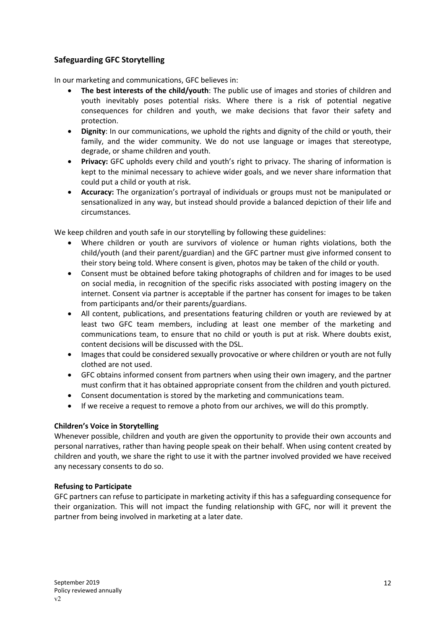# **Safeguarding GFC Storytelling**

In our marketing and communications, GFC believes in:

- **The best interests of the child/youth**: The public use of images and stories of children and youth inevitably poses potential risks. Where there is a risk of potential negative consequences for children and youth, we make decisions that favor their safety and protection.
- **Dignity**: In our communications, we uphold the rights and dignity of the child or youth, their family, and the wider community. We do not use language or images that stereotype, degrade, or shame children and youth.
- **Privacy:** GFC upholds every child and youth's right to privacy. The sharing of information is kept to the minimal necessary to achieve wider goals, and we never share information that could put a child or youth at risk.
- **Accuracy:** The organization's portrayal of individuals or groups must not be manipulated or sensationalized in any way, but instead should provide a balanced depiction of their life and circumstances.

We keep children and youth safe in our storytelling by following these guidelines:

- Where children or youth are survivors of violence or human rights violations, both the child/youth (and their parent/guardian) and the GFC partner must give informed consent to their story being told. Where consent is given, photos may be taken of the child or youth.
- Consent must be obtained before taking photographs of children and for images to be used on social media, in recognition of the specific risks associated with posting imagery on the internet. Consent via partner is acceptable if the partner has consent for images to be taken from participants and/or their parents/guardians.
- All content, publications, and presentations featuring children or youth are reviewed by at least two GFC team members, including at least one member of the marketing and communications team, to ensure that no child or youth is put at risk. Where doubts exist, content decisions will be discussed with the DSL.
- Images that could be considered sexually provocative or where children or youth are not fully clothed are not used.
- GFC obtains informed consent from partners when using their own imagery, and the partner must confirm that it has obtained appropriate consent from the children and youth pictured.
- Consent documentation is stored by the marketing and communications team.
- If we receive a request to remove a photo from our archives, we will do this promptly.

## **Children's Voice in Storytelling**

Whenever possible, children and youth are given the opportunity to provide their own accounts and personal narratives, rather than having people speak on their behalf. When using content created by children and youth, we share the right to use it with the partner involved provided we have received any necessary consents to do so.

## **Refusing to Participate**

GFC partners can refuse to participate in marketing activity if this has a safeguarding consequence for their organization. This will not impact the funding relationship with GFC, nor will it prevent the partner from being involved in marketing at a later date.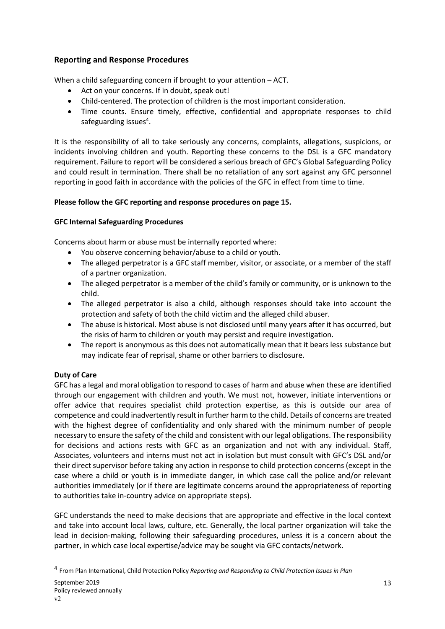# **Reporting and Response Procedures**

When a child safeguarding concern if brought to your attention – ACT.

- Act on your concerns. If in doubt, speak out!
- Child-centered. The protection of children is the most important consideration.
- Time counts. Ensure timely, effective, confidential and appropriate responses to child safeguarding issues<sup>4</sup>.

It is the responsibility of all to take seriously any concerns, complaints, allegations, suspicions, or incidents involving children and youth. Reporting these concerns to the DSL is a GFC mandatory requirement. Failure to report will be considered a serious breach of GFC's Global Safeguarding Policy and could result in termination. There shall be no retaliation of any sort against any GFC personnel reporting in good faith in accordance with the policies of the GFC in effect from time to time.

## **Please follow the GFC reporting and response procedures on page 15.**

## **GFC Internal Safeguarding Procedures**

Concerns about harm or abuse must be internally reported where:

- You observe concerning behavior/abuse to a child or youth.
- The alleged perpetrator is a GFC staff member, visitor, or associate, or a member of the staff of a partner organization.
- The alleged perpetrator is a member of the child's family or community, or is unknown to the child.
- The alleged perpetrator is also a child, although responses should take into account the protection and safety of both the child victim and the alleged child abuser.
- The abuse is historical. Most abuse is not disclosed until many years after it has occurred, but the risks of harm to children or youth may persist and require investigation.
- The report is anonymous as this does not automatically mean that it bears less substance but may indicate fear of reprisal, shame or other barriers to disclosure.

# **Duty of Care**

GFC has a legal and moral obligation to respond to cases of harm and abuse when these are identified through our engagement with children and youth. We must not, however, initiate interventions or offer advice that requires specialist child protection expertise, as this is outside our area of competence and could inadvertently result in further harm to the child. Details of concerns are treated with the highest degree of confidentiality and only shared with the minimum number of people necessary to ensure the safety of the child and consistent with our legal obligations. The responsibility for decisions and actions rests with GFC as an organization and not with any individual. Staff, Associates, volunteers and interns must not act in isolation but must consult with GFC's DSL and/or their direct supervisor before taking any action in response to child protection concerns (except in the case where a child or youth is in immediate danger, in which case call the police and/or relevant authorities immediately (or if there are legitimate concerns around the appropriateness of reporting to authorities take in-country advice on appropriate steps).

GFC understands the need to make decisions that are appropriate and effective in the local context and take into account local laws, culture, etc. Generally, the local partner organization will take the lead in decision-making, following their safeguarding procedures, unless it is a concern about the partner, in which case local expertise/advice may be sought via GFC contacts/network.

<sup>4</sup> From Plan International, Child Protection Policy *Reporting and Responding to Child Protection Issues in Plan*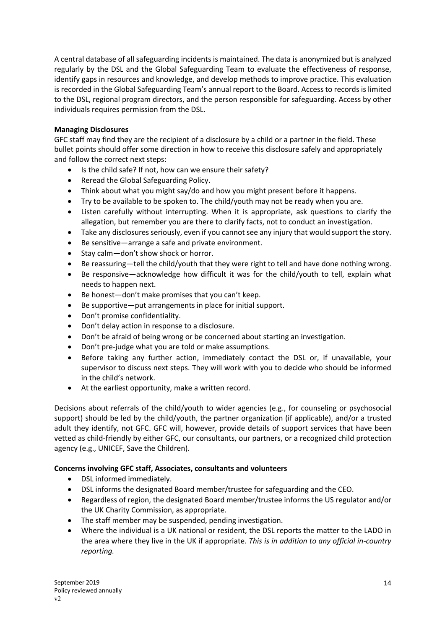A central database of all safeguarding incidents is maintained. The data is anonymized but is analyzed regularly by the DSL and the Global Safeguarding Team to evaluate the effectiveness of response, identify gaps in resources and knowledge, and develop methods to improve practice. This evaluation is recorded in the Global Safeguarding Team's annual report to the Board. Access to records is limited to the DSL, regional program directors, and the person responsible for safeguarding. Access by other individuals requires permission from the DSL.

## **Managing Disclosures**

GFC staff may find they are the recipient of a disclosure by a child or a partner in the field. These bullet points should offer some direction in how to receive this disclosure safely and appropriately and follow the correct next steps:

- Is the child safe? If not, how can we ensure their safety?
- Reread the Global Safeguarding Policy.
- Think about what you might say/do and how you might present before it happens.
- Try to be available to be spoken to. The child/youth may not be ready when you are.
- Listen carefully without interrupting. When it is appropriate, ask questions to clarify the allegation, but remember you are there to clarify facts, not to conduct an investigation.
- Take any disclosures seriously, even if you cannot see any injury that would support the story.
- Be sensitive—arrange a safe and private environment.
- Stay calm—don't show shock or horror.
- Be reassuring—tell the child/youth that they were right to tell and have done nothing wrong.
- Be responsive—acknowledge how difficult it was for the child/youth to tell, explain what needs to happen next.
- Be honest—don't make promises that you can't keep.
- Be supportive—put arrangements in place for initial support.
- Don't promise confidentiality.
- Don't delay action in response to a disclosure.
- Don't be afraid of being wrong or be concerned about starting an investigation.
- Don't pre-judge what you are told or make assumptions.
- Before taking any further action, immediately contact the DSL or, if unavailable, your supervisor to discuss next steps. They will work with you to decide who should be informed in the child's network.
- At the earliest opportunity, make a written record.

Decisions about referrals of the child/youth to wider agencies (e.g., for counseling or psychosocial support) should be led by the child/youth, the partner organization (if applicable), and/or a trusted adult they identify, not GFC. GFC will, however, provide details of support services that have been vetted as child-friendly by either GFC, our consultants, our partners, or a recognized child protection agency (e.g., UNICEF, Save the Children).

## **Concerns involving GFC staff, Associates, consultants and volunteers**

- DSL informed immediately.
- DSL informs the designated Board member/trustee for safeguarding and the CEO.
- Regardless of region, the designated Board member/trustee informs the US regulator and/or the UK Charity Commission, as appropriate.
- The staff member may be suspended, pending investigation.
- Where the individual is a UK national or resident, the DSL reports the matter to the LADO in the area where they live in the UK if appropriate. *This is in addition to any official in-country reporting.*